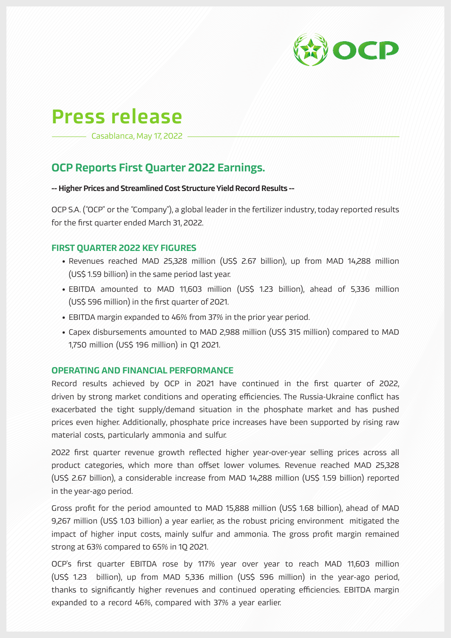

# Press release

Casablanca, May 17, 2022

## OCP Reports First Quarter 2022 Earnings.

#### -- Higher Prices and Streamlined Cost Structure Yield Record Results --

OCP S.A. ("OCP" or the "Company"), a global leader in the fertilizer industry, today reported results for the first quarter ended March 31, 2022.

### FIRST QUARTER 2022 KEY FIGURES

- Revenues reached MAD 25,328 million (US\$ 2.67 billion), up from MAD 14,288 million (US\$ 1.59 billion) in the same period last year.
- EBITDA amounted to MAD 11,603 million (US\$ 1.23 billion), ahead of 5,336 million (US\$ 596 million) in the first quarter of 2021.
- EBITDA margin expanded to 46% from 37% in the prior year period.
- Capex disbursements amounted to MAD 2,988 million (US\$ 315 million) compared to MAD 1,750 million (US\$ 196 million) in Q1 2021.

#### OPERATING AND FINANCIAL PERFORMANCE

Record results achieved by OCP in 2021 have continued in the first quarter of 2022, driven by strong market conditions and operating efficiencies. The Russia-Ukraine conflict has exacerbated the tight supply/demand situation in the phosphate market and has pushed prices even higher. Additionally, phosphate price increases have been supported by rising raw material costs, particularly ammonia and sulfur.

2022 first quarter revenue growth reflected higher year-over-year selling prices across all product categories, which more than offset lower volumes. Revenue reached MAD 25,328 (US\$ 2.67 billion), a considerable increase from MAD 14,288 million (US\$ 1.59 billion) reported in the year-ago period.

Gross profit for the period amounted to MAD 15,888 million (US\$ 1.68 billion), ahead of MAD 9,267 million (US\$ 1.03 billion) a year earlier, as the robust pricing environment mitigated the impact of higher input costs, mainly sulfur and ammonia. The gross profit margin remained strong at 63% compared to 65% in 1Q 2021.

OCP's first quarter EBITDA rose by 117% year over year to reach MAD 11,603 million (US\$ 1.23 billion), up from MAD 5,336 million (US\$ 596 million) in the year-ago period, thanks to significantly higher revenues and continued operating efficiencies. EBITDA margin expanded to a record 46%, compared with 37% a year earlier.